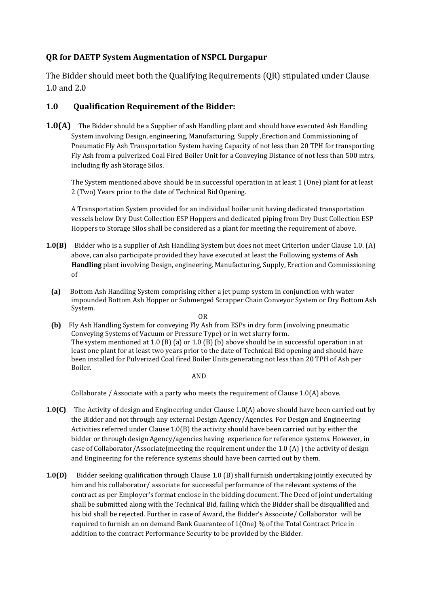## **QR for DAETP System Augmentation of NSPCL Durgapur**

The Bidder should meet both the Qualifying Requirements (QR) stipulated under Clause 1.0 and 2.0

## **1.0 Qualification Requirement of the Bidder:**

**1.0(A)** The Bidder should be a Supplier of ash Handling plant and should have executed Ash Handling System involving Design, engineering, Manufacturing, Supply ,Erection and Commissioning of Pneumatic Fly Ash Transportation System having Capacity of not less than 20 TPH for transporting Fly Ash from a pulverized Coal Fired Boiler Unit for a Conveying Distance of not less than 500 mtrs, including fly ash Storage Silos.

The System mentioned above should be in successful operation in at least 1 (One) plant for at least 2 (Two) Years prior to the date of Technical Bid Opening.

A Transportation System provided for an individual boiler unit having dedicated transportation vessels below Dry Dust Collection ESP Hoppers and dedicated piping from Dry Dust Collection ESP Hoppers to Storage Silos shall be considered as a plant for meeting the requirement of above.

- **1.0(B)** Bidder who is a supplier of Ash Handling System but does not meet Criterion under Clause 1.0. (A) above, can also participate provided they have executed at least the Following systems of **Ash Handling** plant involving Design, engineering, Manufacturing, Supply, Erection and Commissioning of
- **(a)** Bottom Ash Handling System comprising either a jet pump system in conjunction with water impounded Bottom Ash Hopper or Submerged Scrapper Chain Conveyor System or Dry Bottom Ash System.

 OR **(b)** Fly Ash Handling System for conveying Fly Ash from ESPs in dry form (involving pneumatic Conveying Systems of Vacuum or Pressure Type) or in wet slurry form. The system mentioned at 1.0 (B) (a) or 1.0 (B) (b) above should be in successful operation in at least one plant for at least two years prior to the date of Technical Bid opening and should have been installed for Pulverized Coal fired Boiler Units generating not less than 20 TPH of Ash per Boiler.

AND

Collaborate / Associate with a party who meets the requirement of Clause 1.0(A) above.

- **1.0(C)** The Activity of design and Engineering under Clause 1.0(A) above should have been carried out by the Bidder and not through any external Design Agency/Agencies. For Design and Engineering Activities referred under Clause 1.0(B) the activity should have been carried out by either the bidder or through design Agency/agencies having experience for reference systems. However, in case of Collaborator/Associate(meeting the requirement under the 1.0 (A) ) the activity of design and Engineering for the reference systems should have been carried out by them.
- **1.0(D)** Bidder seeking qualification through Clause 1.0 (B) shall furnish undertaking jointly executed by him and his collaborator/ associate for successful performance of the relevant systems of the contract as per Employer's format enclose in the bidding document. The Deed of joint undertaking shall be submitted along with the Technical Bid, failing which the Bidder shall be disqualified and his bid shall be rejected. Further in case of Award, the Bidder's Associate/ Collaborator will be required to furnish an on demand Bank Guarantee of 1(One) % of the Total Contract Price in addition to the contract Performance Security to be provided by the Bidder.